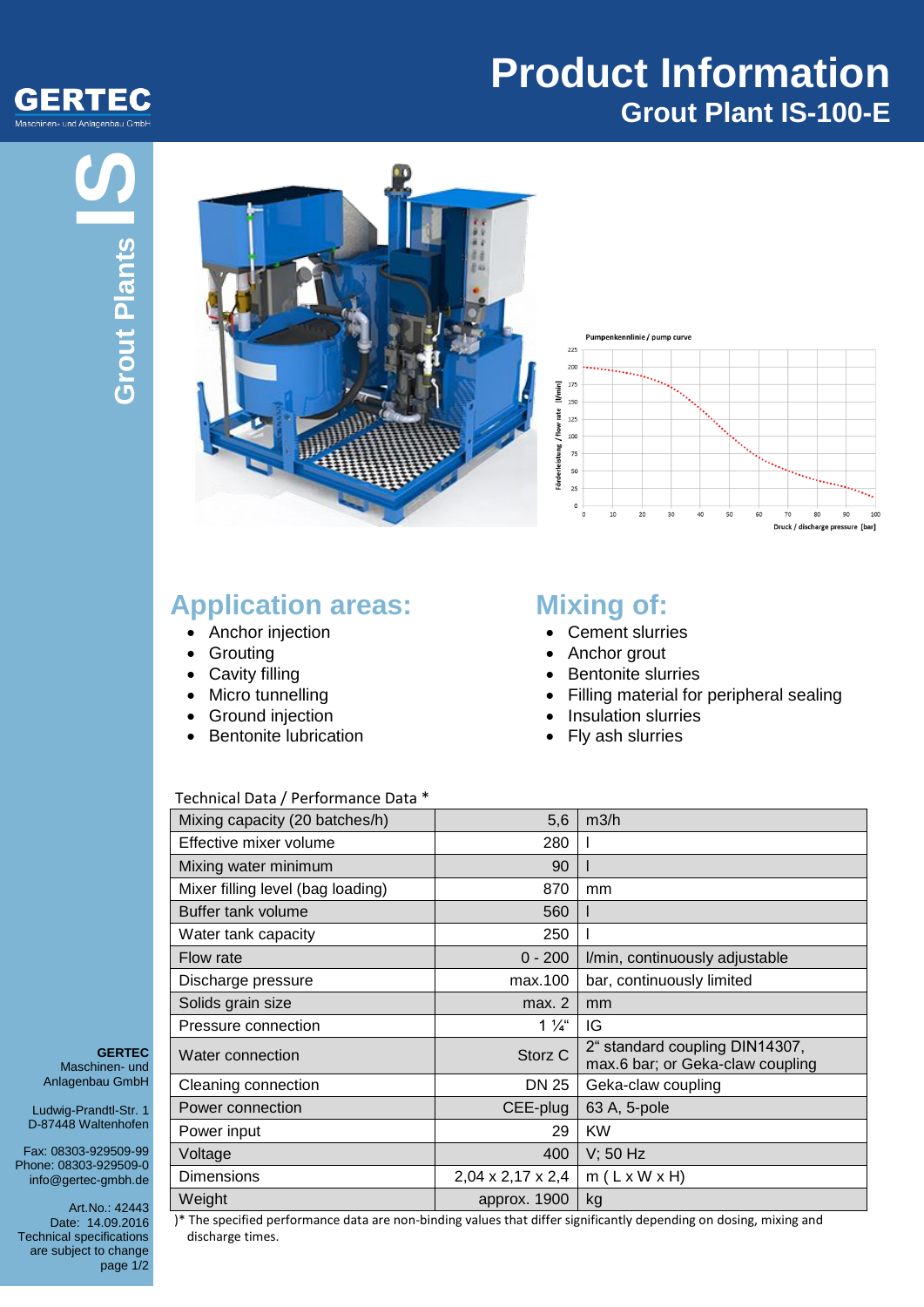

# **Product Information Grout Plant IS-100-E**





### **Application areas:**

- Anchor injection
- Grouting
- Cavity filling
- Micro tunnelling
- Ground injection
- Bentonite lubrication

## **Mixing of:**

- Cement slurries
- Anchor grout
- Bentonite slurries
- Filling material for peripheral sealing
- Insulation slurries
- Fly ash slurries

#### Technical Data / Performance Data \*

| Mixing capacity (20 batches/h)    | 5,6                | m3/h                                                               |
|-----------------------------------|--------------------|--------------------------------------------------------------------|
| Effective mixer volume            | 280                |                                                                    |
| Mixing water minimum              | 90                 |                                                                    |
| Mixer filling level (bag loading) | 870                | mm                                                                 |
| Buffer tank volume                | 560                |                                                                    |
| Water tank capacity               | 250                |                                                                    |
| Flow rate                         | $0 - 200$          | I/min, continuously adjustable                                     |
| Discharge pressure                | max.100            | bar, continuously limited                                          |
| Solids grain size                 | max. 2             | mm                                                                 |
| Pressure connection               | $1\frac{1}{4}$     | IG                                                                 |
| Water connection                  | Storz <sub>C</sub> | 2" standard coupling DIN14307,<br>max.6 bar; or Geka-claw coupling |
| Cleaning connection               | DN 25              | Geka-claw coupling                                                 |
| Power connection                  | CEE-plug           | 63 A, 5-pole                                                       |
| Power input                       | 29                 | KW                                                                 |
| Voltage                           | 400                | $V$ ; 50 Hz                                                        |
| <b>Dimensions</b>                 | 2,04 x 2,17 x 2,4  | $m(L \times W \times H)$                                           |
| Weight                            | approx. 1900       | kg                                                                 |

**GERTEC** Maschinen- und Anlagenbau GmbH

Ludwig-Prandtl-Str. 1 D-87448 Waltenhofen

Fax: 08303-929509-99 Phone: 08303-929509-0 info@gertec-gmbh.de

Art.No.: 42443 Date: 14.09.2016 Technical specifications are subject to change page 1/2

)\* The specified performance data are non-binding values that differ significantly depending on dosing, mixing and discharge times.